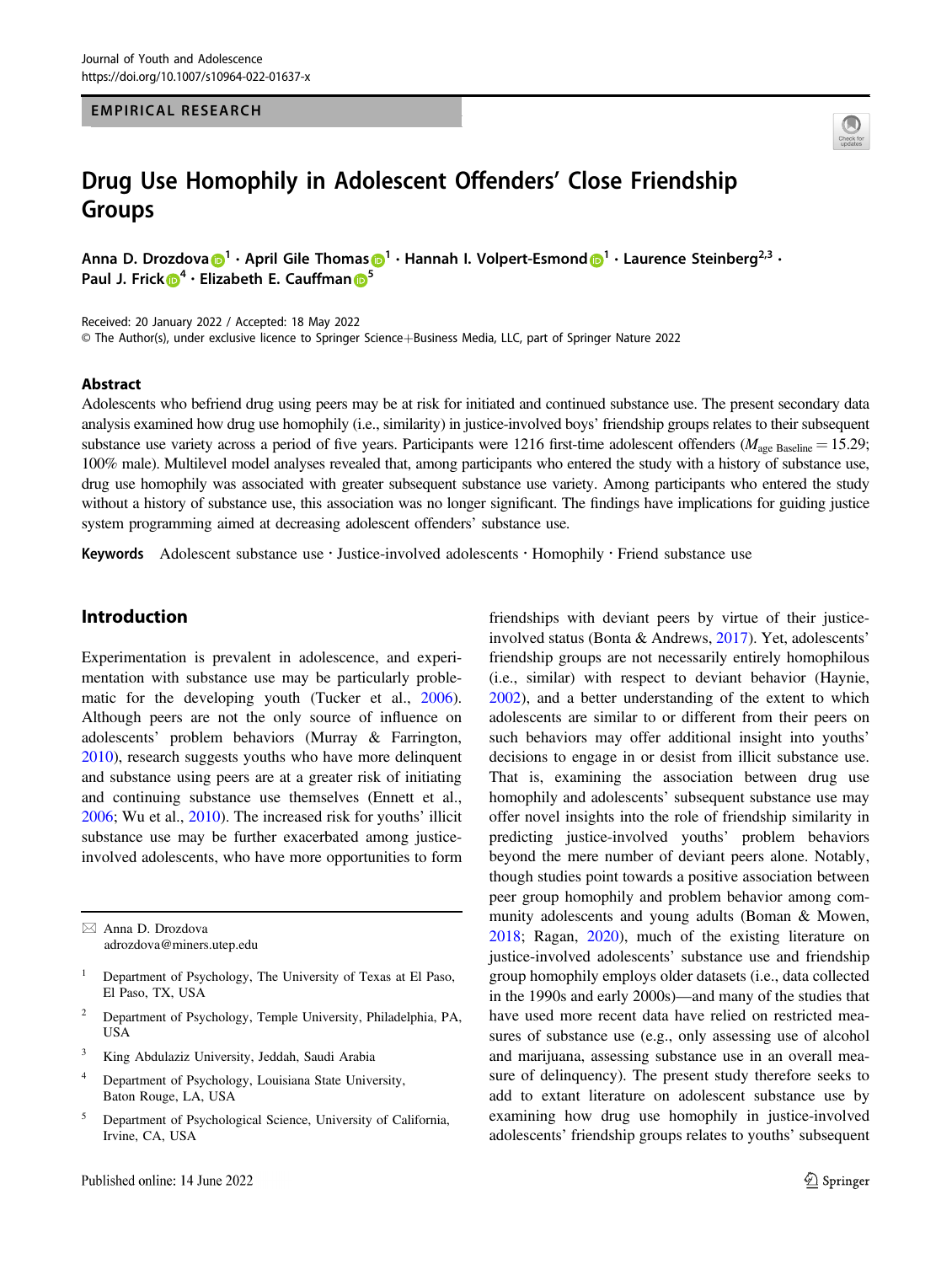#### EMPIRICAL RESEARCH



# Drug Use Homophily in Adolescent Offenders' Close Friendship Groups

Anna D. Drozdova  $\bigcirc^{1} \cdot$  $\bigcirc^{1} \cdot$  $\bigcirc^{1} \cdot$  April Gile Thoma[s](http://orcid.org/0000-0002-5299-660X)  $\bigcirc^{1} \cdot$  Hannah I. Volpert-Esmond  $\bigcirc^{1} \cdot$  Laurence Steinberg<sup>2,3</sup>  $\cdot$ Paul J. Frick  $\mathbf{D}^4$  $\mathbf{D}^4$  · Elizabeth E. Cauffma[n](http://orcid.org/0000-0003-3787-5161)  $\mathbf{D}^5$  $\mathbf{D}^5$ 

Received: 20 January 2022 / Accepted: 18 May 2022 © The Author(s), under exclusive licence to Springer Science+Business Media, LLC, part of Springer Nature 2022

#### Abstract

Adolescents who befriend drug using peers may be at risk for initiated and continued substance use. The present secondary data analysis examined how drug use homophily (i.e., similarity) in justice-involved boys' friendship groups relates to their subsequent substance use variety across a period of five years. Participants were 1216 first-time adolescent offenders ( $M_{\text{age Baseline}} = 15.29$ ; 100% male). Multilevel model analyses revealed that, among participants who entered the study with a history of substance use, drug use homophily was associated with greater subsequent substance use variety. Among participants who entered the study without a history of substance use, this association was no longer significant. The findings have implications for guiding justice system programming aimed at decreasing adolescent offenders' substance use.

Keywords Adolescent substance use · Justice-involved adolescents · Homophily · Friend substance use

# Introduction

Experimentation is prevalent in adolescence, and experimentation with substance use may be particularly problematic for the developing youth (Tucker et al., [2006](#page-13-0)). Although peers are not the only source of influence on adolescents' problem behaviors (Murray & Farrington, [2010\)](#page-13-0), research suggests youths who have more delinquent and substance using peers are at a greater risk of initiating and continuing substance use themselves (Ennett et al., [2006;](#page-12-0) Wu et al., [2010\)](#page-13-0). The increased risk for youths' illicit substance use may be further exacerbated among justiceinvolved adolescents, who have more opportunities to form

 $\boxtimes$  Anna D. Drozdova [adrozdova@miners.utep.edu](mailto:adrozdova@miners.utep.edu)

- <sup>1</sup> Department of Psychology, The University of Texas at El Paso, El Paso, TX, USA
- <sup>2</sup> Department of Psychology, Temple University, Philadelphia, PA, USA
- <sup>3</sup> King Abdulaziz University, Jeddah, Saudi Arabia
- <sup>4</sup> Department of Psychology, Louisiana State University, Baton Rouge, LA, USA
- <sup>5</sup> Department of Psychological Science, University of California, Irvine, CA, USA

friendships with deviant peers by virtue of their justiceinvolved status (Bonta & Andrews, [2017](#page-12-0)). Yet, adolescents' friendship groups are not necessarily entirely homophilous (i.e., similar) with respect to deviant behavior (Haynie, [2002](#page-12-0)), and a better understanding of the extent to which adolescents are similar to or different from their peers on such behaviors may offer additional insight into youths' decisions to engage in or desist from illicit substance use. That is, examining the association between drug use homophily and adolescents' subsequent substance use may offer novel insights into the role of friendship similarity in predicting justice-involved youths' problem behaviors beyond the mere number of deviant peers alone. Notably, though studies point towards a positive association between peer group homophily and problem behavior among community adolescents and young adults (Boman & Mowen, [2018](#page-12-0); Ragan, [2020](#page-13-0)), much of the existing literature on justice-involved adolescents' substance use and friendship group homophily employs older datasets (i.e., data collected in the 1990s and early 2000s)—and many of the studies that have used more recent data have relied on restricted measures of substance use (e.g., only assessing use of alcohol and marijuana, assessing substance use in an overall measure of delinquency). The present study therefore seeks to add to extant literature on adolescent substance use by examining how drug use homophily in justice-involved adolescents' friendship groups relates to youths' subsequent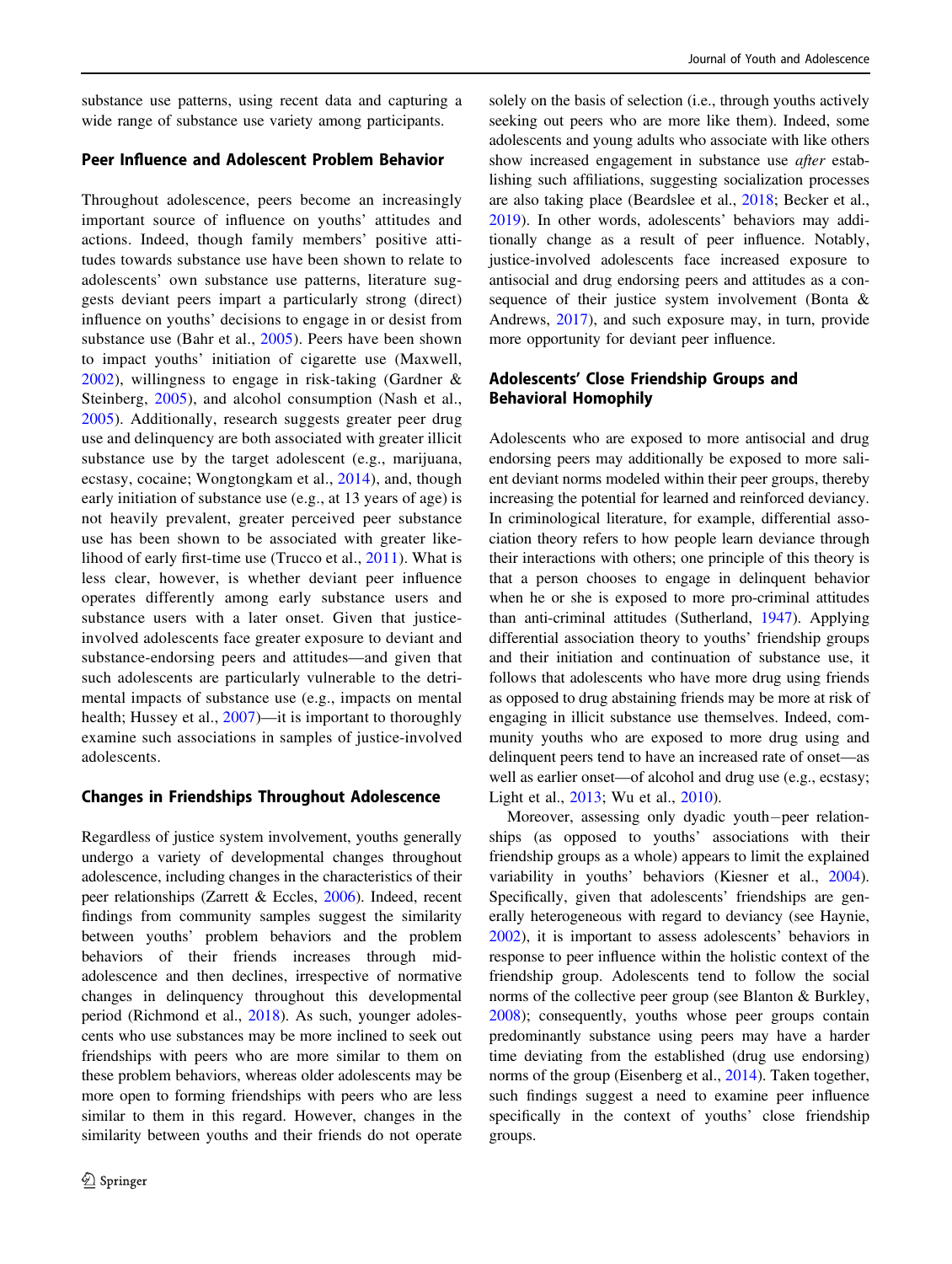substance use patterns, using recent data and capturing a wide range of substance use variety among participants.

### Peer Influence and Adolescent Problem Behavior

Throughout adolescence, peers become an increasingly important source of influence on youths' attitudes and actions. Indeed, though family members' positive attitudes towards substance use have been shown to relate to adolescents' own substance use patterns, literature suggests deviant peers impart a particularly strong (direct) influence on youths' decisions to engage in or desist from substance use (Bahr et al., [2005\)](#page-12-0). Peers have been shown to impact youths' initiation of cigarette use (Maxwell, [2002\)](#page-13-0), willingness to engage in risk-taking (Gardner & Steinberg, [2005](#page-12-0)), and alcohol consumption (Nash et al., [2005\)](#page-13-0). Additionally, research suggests greater peer drug use and delinquency are both associated with greater illicit substance use by the target adolescent (e.g., marijuana, ecstasy, cocaine; Wongtongkam et al., [2014\)](#page-13-0), and, though early initiation of substance use (e.g., at 13 years of age) is not heavily prevalent, greater perceived peer substance use has been shown to be associated with greater likelihood of early first-time use (Trucco et al., [2011\)](#page-13-0). What is less clear, however, is whether deviant peer influence operates differently among early substance users and substance users with a later onset. Given that justiceinvolved adolescents face greater exposure to deviant and substance-endorsing peers and attitudes—and given that such adolescents are particularly vulnerable to the detrimental impacts of substance use (e.g., impacts on mental health; Hussey et al., [2007](#page-12-0))—it is important to thoroughly examine such associations in samples of justice-involved adolescents.

### Changes in Friendships Throughout Adolescence

Regardless of justice system involvement, youths generally undergo a variety of developmental changes throughout adolescence, including changes in the characteristics of their peer relationships (Zarrett & Eccles, [2006\)](#page-13-0). Indeed, recent findings from community samples suggest the similarity between youths' problem behaviors and the problem behaviors of their friends increases through midadolescence and then declines, irrespective of normative changes in delinquency throughout this developmental period (Richmond et al., [2018](#page-13-0)). As such, younger adolescents who use substances may be more inclined to seek out friendships with peers who are more similar to them on these problem behaviors, whereas older adolescents may be more open to forming friendships with peers who are less similar to them in this regard. However, changes in the similarity between youths and their friends do not operate

solely on the basis of selection (i.e., through youths actively seeking out peers who are more like them). Indeed, some adolescents and young adults who associate with like others show increased engagement in substance use after establishing such affiliations, suggesting socialization processes are also taking place (Beardslee et al., [2018](#page-12-0); Becker et al., [2019](#page-12-0)). In other words, adolescents' behaviors may additionally change as a result of peer influence. Notably, justice-involved adolescents face increased exposure to antisocial and drug endorsing peers and attitudes as a consequence of their justice system involvement (Bonta & Andrews, [2017](#page-12-0)), and such exposure may, in turn, provide more opportunity for deviant peer influence.

# Adolescents' Close Friendship Groups and Behavioral Homophily

Adolescents who are exposed to more antisocial and drug endorsing peers may additionally be exposed to more salient deviant norms modeled within their peer groups, thereby increasing the potential for learned and reinforced deviancy. In criminological literature, for example, differential association theory refers to how people learn deviance through their interactions with others; one principle of this theory is that a person chooses to engage in delinquent behavior when he or she is exposed to more pro-criminal attitudes than anti-criminal attitudes (Sutherland, [1947\)](#page-13-0). Applying differential association theory to youths' friendship groups and their initiation and continuation of substance use, it follows that adolescents who have more drug using friends as opposed to drug abstaining friends may be more at risk of engaging in illicit substance use themselves. Indeed, community youths who are exposed to more drug using and delinquent peers tend to have an increased rate of onset—as well as earlier onset—of alcohol and drug use (e.g., ecstasy; Light et al., [2013;](#page-12-0) Wu et al., [2010](#page-13-0)).

Moreover, assessing only dyadic youth−peer relationships (as opposed to youths' associations with their friendship groups as a whole) appears to limit the explained variability in youths' behaviors (Kiesner et al., [2004\)](#page-12-0). Specifically, given that adolescents' friendships are generally heterogeneous with regard to deviancy (see Haynie, [2002](#page-12-0)), it is important to assess adolescents' behaviors in response to peer influence within the holistic context of the friendship group. Adolescents tend to follow the social norms of the collective peer group (see Blanton & Burkley, [2008](#page-12-0)); consequently, youths whose peer groups contain predominantly substance using peers may have a harder time deviating from the established (drug use endorsing) norms of the group (Eisenberg et al., [2014\)](#page-12-0). Taken together, such findings suggest a need to examine peer influence specifically in the context of youths' close friendship groups.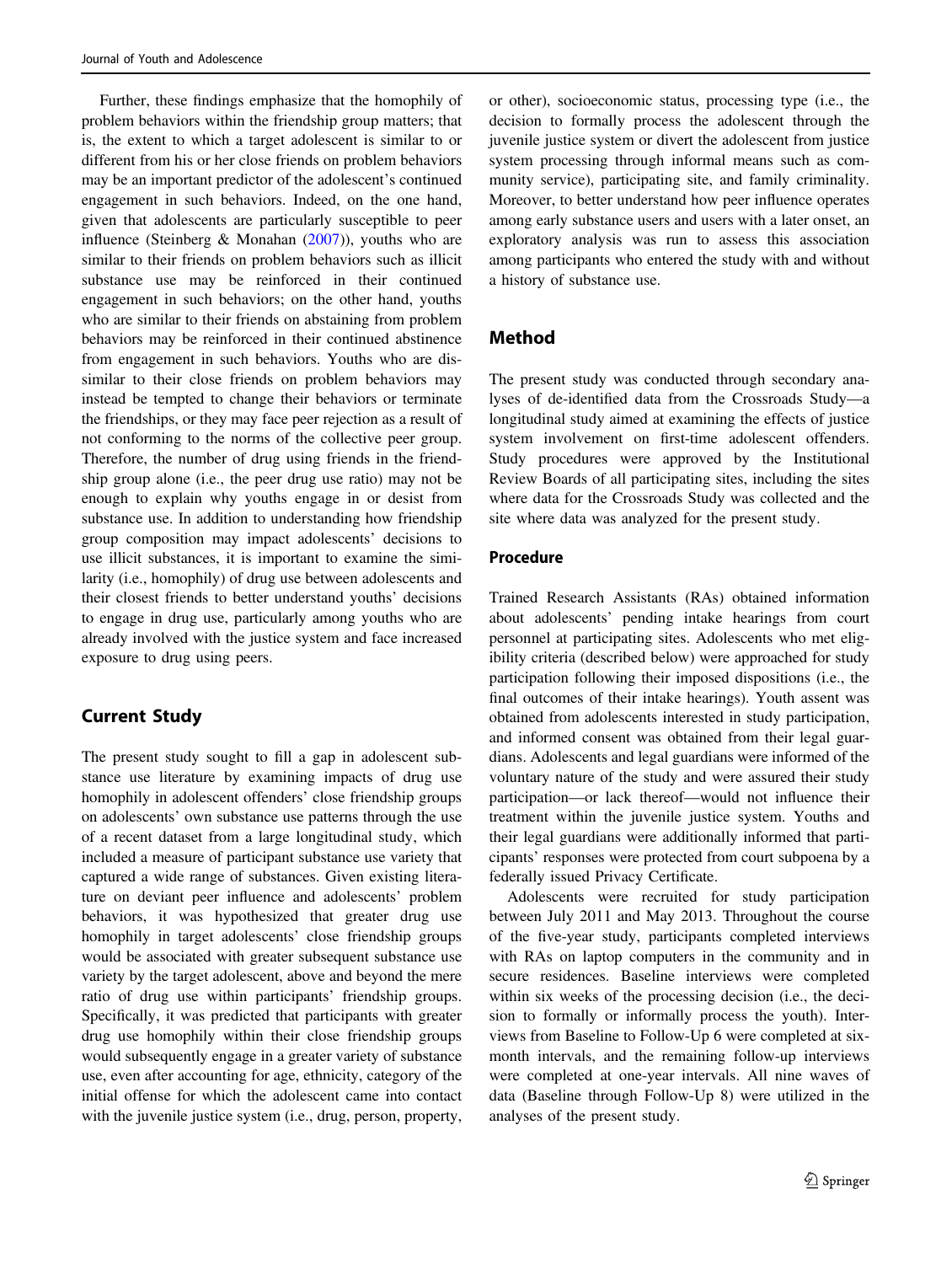Further, these findings emphasize that the homophily of problem behaviors within the friendship group matters; that is, the extent to which a target adolescent is similar to or different from his or her close friends on problem behaviors may be an important predictor of the adolescent's continued engagement in such behaviors. Indeed, on the one hand, given that adolescents are particularly susceptible to peer influence (Steinberg & Monahan ([2007\)](#page-13-0)), youths who are similar to their friends on problem behaviors such as illicit substance use may be reinforced in their continued engagement in such behaviors; on the other hand, youths who are similar to their friends on abstaining from problem behaviors may be reinforced in their continued abstinence from engagement in such behaviors. Youths who are dissimilar to their close friends on problem behaviors may instead be tempted to change their behaviors or terminate the friendships, or they may face peer rejection as a result of not conforming to the norms of the collective peer group. Therefore, the number of drug using friends in the friendship group alone (i.e., the peer drug use ratio) may not be enough to explain why youths engage in or desist from substance use. In addition to understanding how friendship group composition may impact adolescents' decisions to use illicit substances, it is important to examine the similarity (i.e., homophily) of drug use between adolescents and their closest friends to better understand youths' decisions to engage in drug use, particularly among youths who are already involved with the justice system and face increased exposure to drug using peers.

# Current Study

The present study sought to fill a gap in adolescent substance use literature by examining impacts of drug use homophily in adolescent offenders' close friendship groups on adolescents' own substance use patterns through the use of a recent dataset from a large longitudinal study, which included a measure of participant substance use variety that captured a wide range of substances. Given existing literature on deviant peer influence and adolescents' problem behaviors, it was hypothesized that greater drug use homophily in target adolescents' close friendship groups would be associated with greater subsequent substance use variety by the target adolescent, above and beyond the mere ratio of drug use within participants' friendship groups. Specifically, it was predicted that participants with greater drug use homophily within their close friendship groups would subsequently engage in a greater variety of substance use, even after accounting for age, ethnicity, category of the initial offense for which the adolescent came into contact with the juvenile justice system (i.e., drug, person, property, or other), socioeconomic status, processing type (i.e., the decision to formally process the adolescent through the juvenile justice system or divert the adolescent from justice system processing through informal means such as community service), participating site, and family criminality. Moreover, to better understand how peer influence operates among early substance users and users with a later onset, an exploratory analysis was run to assess this association among participants who entered the study with and without a history of substance use.

# Method

The present study was conducted through secondary analyses of de-identified data from the Crossroads Study—a longitudinal study aimed at examining the effects of justice system involvement on first-time adolescent offenders. Study procedures were approved by the Institutional Review Boards of all participating sites, including the sites where data for the Crossroads Study was collected and the site where data was analyzed for the present study.

# Procedure

Trained Research Assistants (RAs) obtained information about adolescents' pending intake hearings from court personnel at participating sites. Adolescents who met eligibility criteria (described below) were approached for study participation following their imposed dispositions (i.e., the final outcomes of their intake hearings). Youth assent was obtained from adolescents interested in study participation, and informed consent was obtained from their legal guardians. Adolescents and legal guardians were informed of the voluntary nature of the study and were assured their study participation—or lack thereof—would not influence their treatment within the juvenile justice system. Youths and their legal guardians were additionally informed that participants' responses were protected from court subpoena by a federally issued Privacy Certificate.

Adolescents were recruited for study participation between July 2011 and May 2013. Throughout the course of the five-year study, participants completed interviews with RAs on laptop computers in the community and in secure residences. Baseline interviews were completed within six weeks of the processing decision (i.e., the decision to formally or informally process the youth). Interviews from Baseline to Follow-Up 6 were completed at sixmonth intervals, and the remaining follow-up interviews were completed at one-year intervals. All nine waves of data (Baseline through Follow-Up 8) were utilized in the analyses of the present study.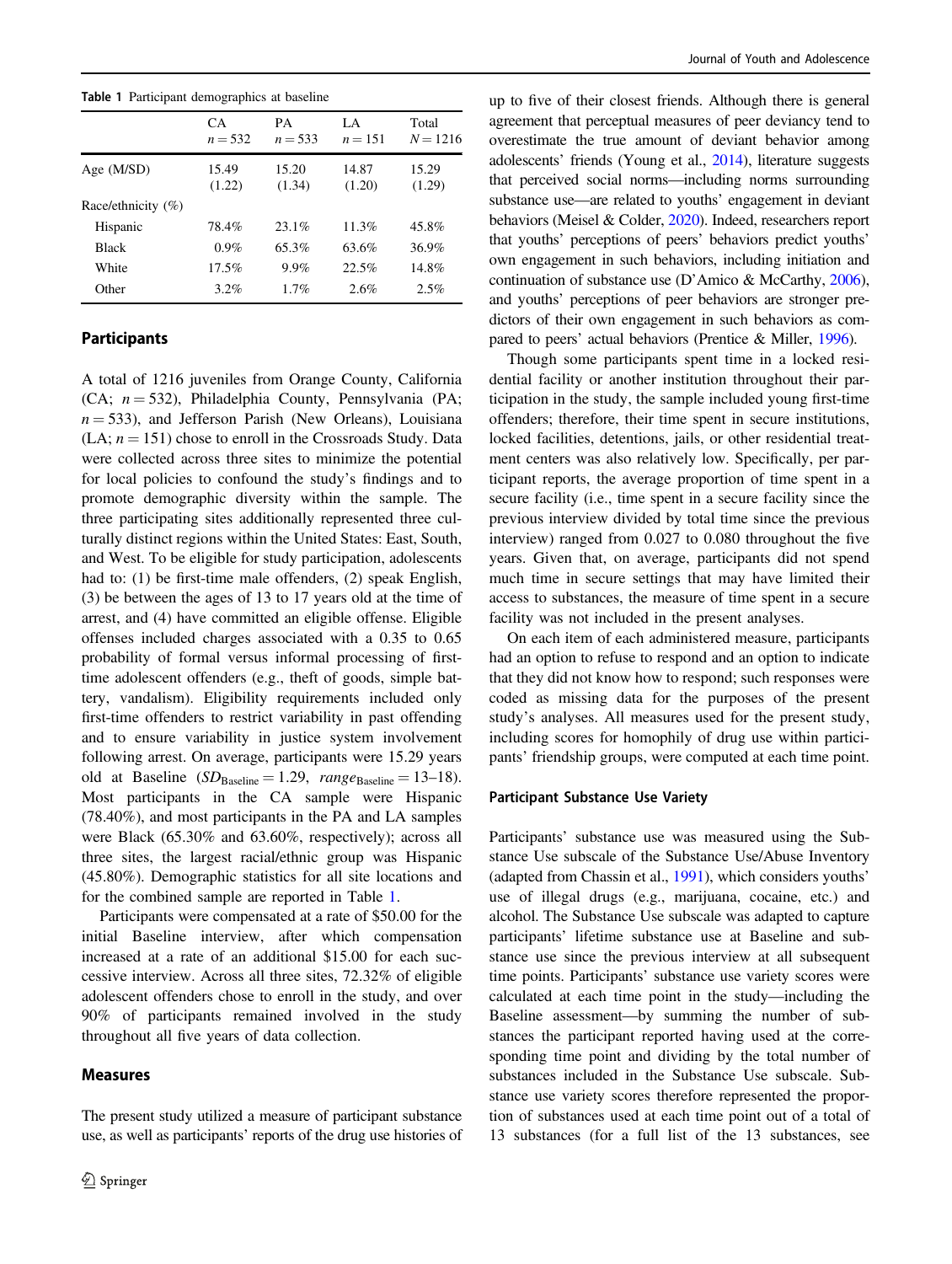Table 1 Participant demographics at baseline

|                        | CA.<br>$n = 532$ | PА<br>$n = 533$ | LA<br>$n = 151$ | Total<br>$N = 1216$ |
|------------------------|------------------|-----------------|-----------------|---------------------|
| Age $(M/SD)$           | 15.49<br>(1.22)  | 15.20<br>(1.34) | 14.87<br>(1.20) | 15.29<br>(1.29)     |
| Race/ethnicity $(\% )$ |                  |                 |                 |                     |
| Hispanic               | 78.4%            | 23.1%           | 11.3%           | 45.8%               |
| <b>Black</b>           | $0.9\%$          | 65.3%           | 63.6%           | 36.9%               |
| White                  | $17.5\%$         | 9.9%            | 22.5%           | 14.8%               |
| Other                  | $3.2\%$          | 1.7%            | 2.6%            | 2.5%                |

# Participants

A total of 1216 juveniles from Orange County, California (CA;  $n = 532$ ), Philadelphia County, Pennsylvania (PA;  $n = 533$ ), and Jefferson Parish (New Orleans), Louisiana  $(LA; n = 151)$  chose to enroll in the Crossroads Study. Data were collected across three sites to minimize the potential for local policies to confound the study's findings and to promote demographic diversity within the sample. The three participating sites additionally represented three culturally distinct regions within the United States: East, South, and West. To be eligible for study participation, adolescents had to: (1) be first-time male offenders, (2) speak English, (3) be between the ages of 13 to 17 years old at the time of arrest, and (4) have committed an eligible offense. Eligible offenses included charges associated with a 0.35 to 0.65 probability of formal versus informal processing of firsttime adolescent offenders (e.g., theft of goods, simple battery, vandalism). Eligibility requirements included only first-time offenders to restrict variability in past offending and to ensure variability in justice system involvement following arrest. On average, participants were 15.29 years old at Baseline  $(SD_{\text{Baseline}} = 1.29, \text{range}_{\text{Baseline}} = 13-18).$ Most participants in the CA sample were Hispanic (78.40%), and most participants in the PA and LA samples were Black (65.30% and 63.60%, respectively); across all three sites, the largest racial/ethnic group was Hispanic (45.80%). Demographic statistics for all site locations and for the combined sample are reported in Table 1.

Participants were compensated at a rate of \$50.00 for the initial Baseline interview, after which compensation increased at a rate of an additional \$15.00 for each successive interview. Across all three sites, 72.32% of eligible adolescent offenders chose to enroll in the study, and over 90% of participants remained involved in the study throughout all five years of data collection.

### Measures

The present study utilized a measure of participant substance use, as well as participants' reports of the drug use histories of

up to five of their closest friends. Although there is general agreement that perceptual measures of peer deviancy tend to overestimate the true amount of deviant behavior among adolescents' friends (Young et al., [2014\)](#page-13-0), literature suggests that perceived social norms—including norms surrounding substance use—are related to youths' engagement in deviant behaviors (Meisel & Colder, [2020\)](#page-13-0). Indeed, researchers report that youths' perceptions of peers' behaviors predict youths' own engagement in such behaviors, including initiation and continuation of substance use (D'Amico & McCarthy, [2006\)](#page-12-0), and youths' perceptions of peer behaviors are stronger predictors of their own engagement in such behaviors as compared to peers' actual behaviors (Prentice & Miller, [1996](#page-13-0)).

Though some participants spent time in a locked residential facility or another institution throughout their participation in the study, the sample included young first-time offenders; therefore, their time spent in secure institutions, locked facilities, detentions, jails, or other residential treatment centers was also relatively low. Specifically, per participant reports, the average proportion of time spent in a secure facility (i.e., time spent in a secure facility since the previous interview divided by total time since the previous interview) ranged from 0.027 to 0.080 throughout the five years. Given that, on average, participants did not spend much time in secure settings that may have limited their access to substances, the measure of time spent in a secure facility was not included in the present analyses.

On each item of each administered measure, participants had an option to refuse to respond and an option to indicate that they did not know how to respond; such responses were coded as missing data for the purposes of the present study's analyses. All measures used for the present study, including scores for homophily of drug use within participants' friendship groups, were computed at each time point.

#### Participant Substance Use Variety

Participants' substance use was measured using the Substance Use subscale of the Substance Use/Abuse Inventory (adapted from Chassin et al., [1991\)](#page-12-0), which considers youths' use of illegal drugs (e.g., marijuana, cocaine, etc.) and alcohol. The Substance Use subscale was adapted to capture participants' lifetime substance use at Baseline and substance use since the previous interview at all subsequent time points. Participants' substance use variety scores were calculated at each time point in the study—including the Baseline assessment—by summing the number of substances the participant reported having used at the corresponding time point and dividing by the total number of substances included in the Substance Use subscale. Substance use variety scores therefore represented the proportion of substances used at each time point out of a total of 13 substances (for a full list of the 13 substances, see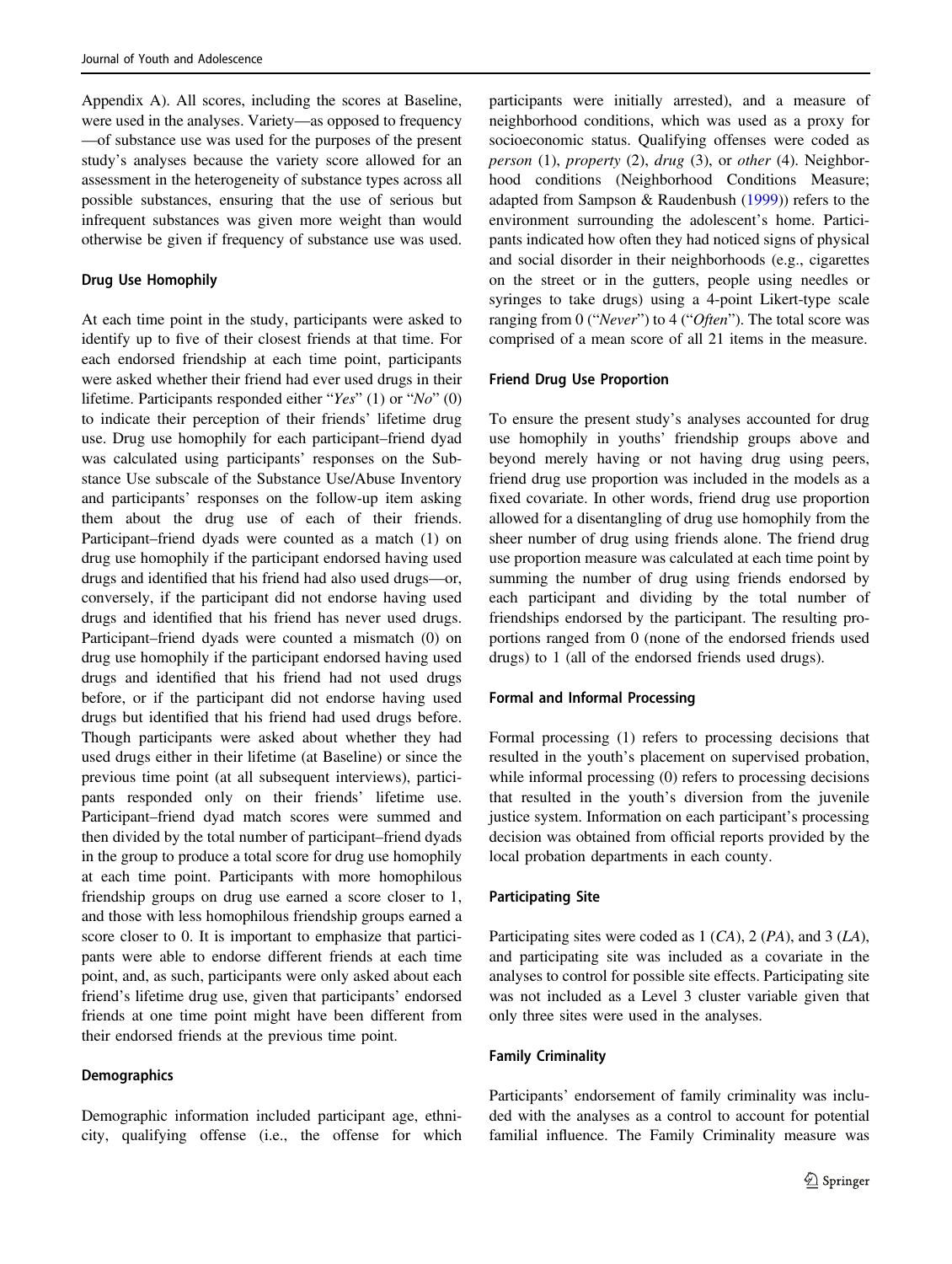Appendix A). All scores, including the scores at Baseline, were used in the analyses. Variety—as opposed to frequency —of substance use was used for the purposes of the present study's analyses because the variety score allowed for an assessment in the heterogeneity of substance types across all possible substances, ensuring that the use of serious but infrequent substances was given more weight than would otherwise be given if frequency of substance use was used.

#### Drug Use Homophily

At each time point in the study, participants were asked to identify up to five of their closest friends at that time. For each endorsed friendship at each time point, participants were asked whether their friend had ever used drugs in their lifetime. Participants responded either "Yes" (1) or "No" (0) to indicate their perception of their friends' lifetime drug use. Drug use homophily for each participant–friend dyad was calculated using participants' responses on the Substance Use subscale of the Substance Use/Abuse Inventory and participants' responses on the follow-up item asking them about the drug use of each of their friends. Participant–friend dyads were counted as a match (1) on drug use homophily if the participant endorsed having used drugs and identified that his friend had also used drugs—or, conversely, if the participant did not endorse having used drugs and identified that his friend has never used drugs. Participant–friend dyads were counted a mismatch (0) on drug use homophily if the participant endorsed having used drugs and identified that his friend had not used drugs before, or if the participant did not endorse having used drugs but identified that his friend had used drugs before. Though participants were asked about whether they had used drugs either in their lifetime (at Baseline) or since the previous time point (at all subsequent interviews), participants responded only on their friends' lifetime use. Participant–friend dyad match scores were summed and then divided by the total number of participant–friend dyads in the group to produce a total score for drug use homophily at each time point. Participants with more homophilous friendship groups on drug use earned a score closer to 1, and those with less homophilous friendship groups earned a score closer to 0. It is important to emphasize that participants were able to endorse different friends at each time point, and, as such, participants were only asked about each friend's lifetime drug use, given that participants' endorsed friends at one time point might have been different from their endorsed friends at the previous time point.

#### **Demographics**

Demographic information included participant age, ethnicity, qualifying offense (i.e., the offense for which participants were initially arrested), and a measure of neighborhood conditions, which was used as a proxy for socioeconomic status. Qualifying offenses were coded as person  $(1)$ , property  $(2)$ , drug  $(3)$ , or other  $(4)$ . Neighborhood conditions (Neighborhood Conditions Measure; adapted from Sampson & Raudenbush [\(1999](#page-13-0))) refers to the environment surrounding the adolescent's home. Participants indicated how often they had noticed signs of physical and social disorder in their neighborhoods (e.g., cigarettes on the street or in the gutters, people using needles or syringes to take drugs) using a 4-point Likert-type scale ranging from 0 ("Never") to 4 ("Often"). The total score was comprised of a mean score of all 21 items in the measure.

#### Friend Drug Use Proportion

To ensure the present study's analyses accounted for drug use homophily in youths' friendship groups above and beyond merely having or not having drug using peers, friend drug use proportion was included in the models as a fixed covariate. In other words, friend drug use proportion allowed for a disentangling of drug use homophily from the sheer number of drug using friends alone. The friend drug use proportion measure was calculated at each time point by summing the number of drug using friends endorsed by each participant and dividing by the total number of friendships endorsed by the participant. The resulting proportions ranged from 0 (none of the endorsed friends used drugs) to 1 (all of the endorsed friends used drugs).

#### Formal and Informal Processing

Formal processing (1) refers to processing decisions that resulted in the youth's placement on supervised probation, while informal processing (0) refers to processing decisions that resulted in the youth's diversion from the juvenile justice system. Information on each participant's processing decision was obtained from official reports provided by the local probation departments in each county.

#### Participating Site

Participating sites were coded as 1 (CA), 2 (PA), and 3 (LA), and participating site was included as a covariate in the analyses to control for possible site effects. Participating site was not included as a Level 3 cluster variable given that only three sites were used in the analyses.

#### Family Criminality

Participants' endorsement of family criminality was included with the analyses as a control to account for potential familial influence. The Family Criminality measure was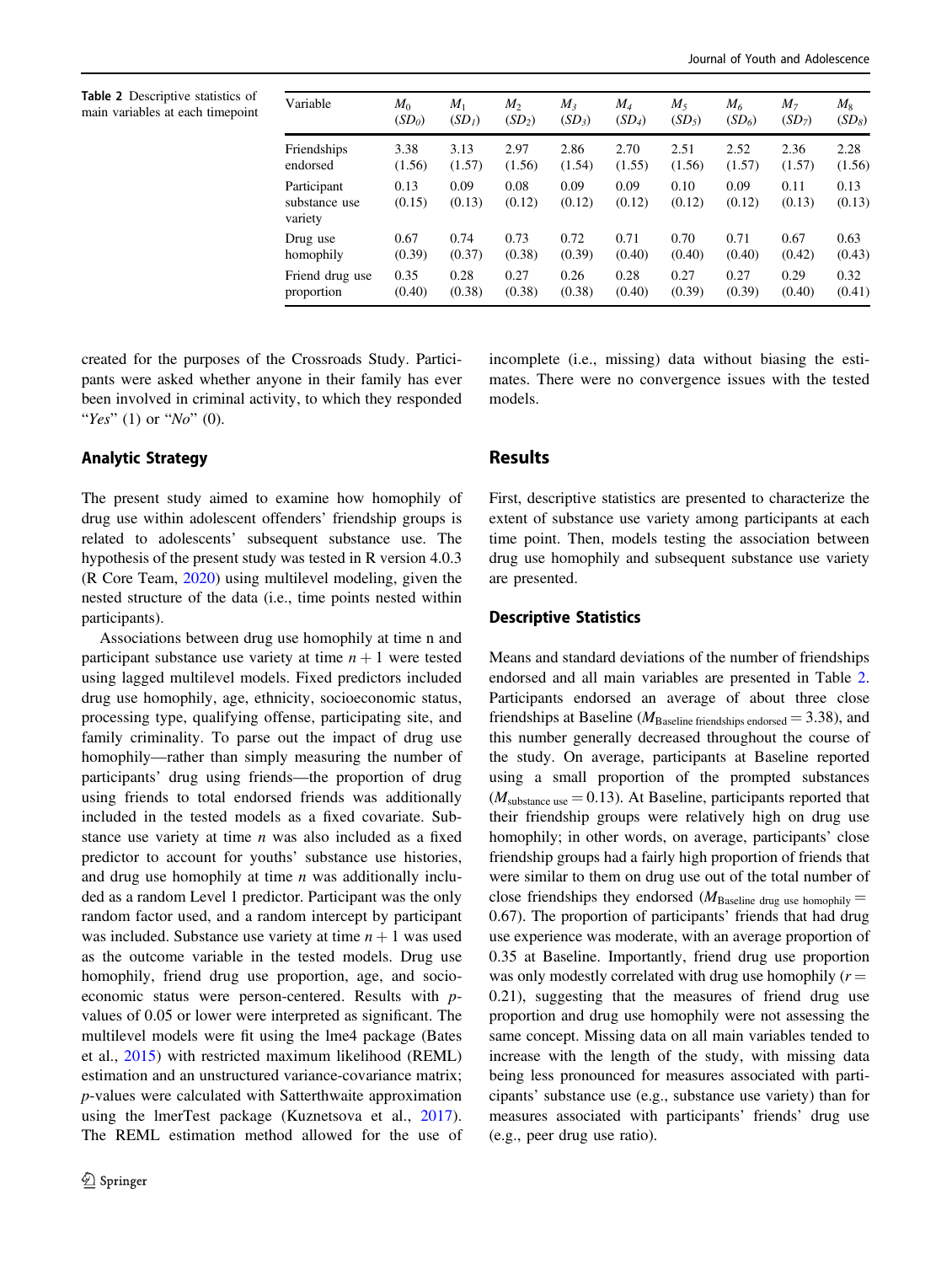Table 2 Descriptive statistics of main variables at each timepoint

| Variable                                | $M_0$          | $M_1$              | $M_{2}$            | $M_{3}$        | $M_{4}$        | $M_{5}$        | $M_{6}$        | M <sub>7</sub> | $M_{8}$        |
|-----------------------------------------|----------------|--------------------|--------------------|----------------|----------------|----------------|----------------|----------------|----------------|
|                                         | $(SD_0)$       | (SD <sub>I</sub> ) | (SD <sub>2</sub> ) | $(SD_3)$       | $(SD_4)$       | $(SD_5)$       | $(SD_6)$       | $(SD_7)$       | $(SD_8)$       |
| Friendships                             | 3.38           | 3.13               | 2.97               | 2.86           | 2.70           | 2.51           | 2.52           | 2.36           | 2.28           |
| endorsed                                | (1.56)         | (1.57)             | (1.56)             | (1.54)         | (1.55)         | (1.56)         | (1.57)         | (1.57)         | (1.56)         |
| Participant<br>substance use<br>variety | 0.13<br>(0.15) | 0.09<br>(0.13)     | 0.08<br>(0.12)     | 0.09<br>(0.12) | 0.09<br>(0.12) | 0.10<br>(0.12) | 0.09<br>(0.12) | 0.11<br>(0.13) | 0.13<br>(0.13) |
| Drug use                                | 0.67           | 0.74               | 0.73               | 0.72           | 0.71           | 0.70           | 0.71           | 0.67           | 0.63           |
| homophily                               | (0.39)         | (0.37)             | (0.38)             | (0.39)         | (0.40)         | (0.40)         | (0.40)         | (0.42)         | (0.43)         |
| Friend drug use                         | 0.35           | 0.28               | 0.27               | 0.26           | 0.28           | 0.27           | 0.27           | 0.29           | 0.32           |
| proportion                              | (0.40)         | (0.38)             | (0.38)             | (0.38)         | (0.40)         | (0.39)         | (0.39)         | (0.40)         | (0.41)         |

created for the purposes of the Crossroads Study. Participants were asked whether anyone in their family has ever been involved in criminal activity, to which they responded "Yes"  $(1)$  or "No"  $(0)$ .

### Analytic Strategy

The present study aimed to examine how homophily of drug use within adolescent offenders' friendship groups is related to adolescents' subsequent substance use. The hypothesis of the present study was tested in R version 4.0.3 (R Core Team, [2020\)](#page-13-0) using multilevel modeling, given the nested structure of the data (i.e., time points nested within participants).

Associations between drug use homophily at time n and participant substance use variety at time  $n + 1$  were tested using lagged multilevel models. Fixed predictors included drug use homophily, age, ethnicity, socioeconomic status, processing type, qualifying offense, participating site, and family criminality. To parse out the impact of drug use homophily—rather than simply measuring the number of participants' drug using friends—the proportion of drug using friends to total endorsed friends was additionally included in the tested models as a fixed covariate. Substance use variety at time  $n$  was also included as a fixed predictor to account for youths' substance use histories, and drug use homophily at time  $n$  was additionally included as a random Level 1 predictor. Participant was the only random factor used, and a random intercept by participant was included. Substance use variety at time  $n + 1$  was used as the outcome variable in the tested models. Drug use homophily, friend drug use proportion, age, and socioeconomic status were person-centered. Results with pvalues of 0.05 or lower were interpreted as significant. The multilevel models were fit using the lme4 package (Bates et al., [2015\)](#page-12-0) with restricted maximum likelihood (REML) estimation and an unstructured variance-covariance matrix; p-values were calculated with Satterthwaite approximation using the lmerTest package (Kuznetsova et al., [2017](#page-12-0)). The REML estimation method allowed for the use of incomplete (i.e., missing) data without biasing the estimates. There were no convergence issues with the tested models.

### Results

First, descriptive statistics are presented to characterize the extent of substance use variety among participants at each time point. Then, models testing the association between drug use homophily and subsequent substance use variety are presented.

### Descriptive Statistics

Means and standard deviations of the number of friendships endorsed and all main variables are presented in Table 2. Participants endorsed an average of about three close friendships at Baseline ( $M_{\text{Baseline}}$  friendships endorsed = 3.38), and this number generally decreased throughout the course of the study. On average, participants at Baseline reported using a small proportion of the prompted substances  $(M_{\text{substance use}} = 0.13)$ . At Baseline, participants reported that their friendship groups were relatively high on drug use homophily; in other words, on average, participants' close friendship groups had a fairly high proportion of friends that were similar to them on drug use out of the total number of close friendships they endorsed  $(M_{\text{Baseline drug use homophily}} =$ 0.67). The proportion of participants' friends that had drug use experience was moderate, with an average proportion of 0.35 at Baseline. Importantly, friend drug use proportion was only modestly correlated with drug use homophily  $(r =$ 0.21), suggesting that the measures of friend drug use proportion and drug use homophily were not assessing the same concept. Missing data on all main variables tended to increase with the length of the study, with missing data being less pronounced for measures associated with participants' substance use (e.g., substance use variety) than for measures associated with participants' friends' drug use (e.g., peer drug use ratio).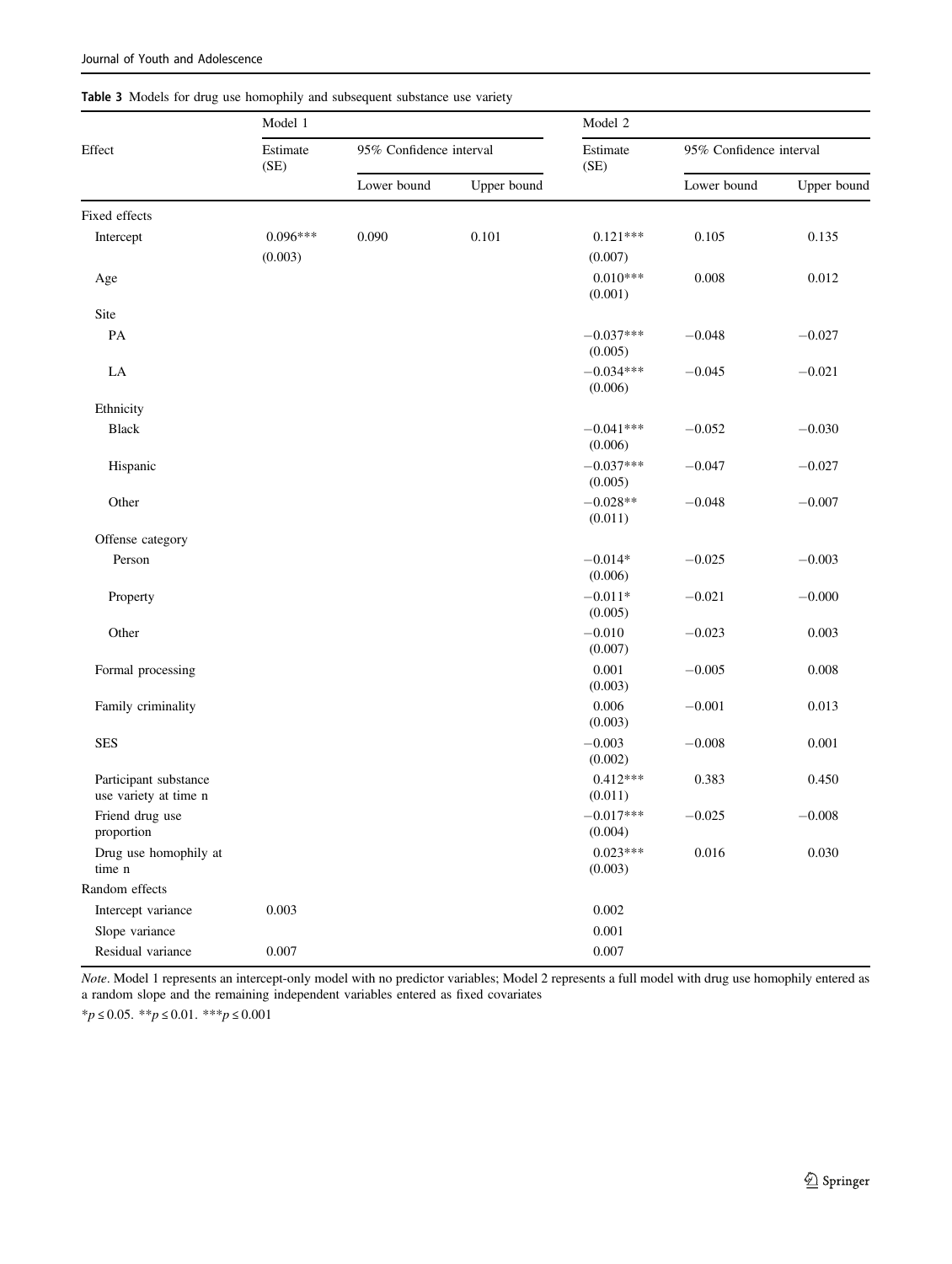|                                                | Model 1    | Model 2                 |             |                        |                         |             |
|------------------------------------------------|------------|-------------------------|-------------|------------------------|-------------------------|-------------|
| Effect<br>(SE)                                 | Estimate   | 95% Confidence interval |             | Estimate<br>(SE)       | 95% Confidence interval |             |
|                                                |            | Lower bound             | Upper bound |                        | Lower bound             | Upper bound |
| Fixed effects                                  |            |                         |             |                        |                         |             |
| Intercept                                      | $0.096***$ | 0.090                   | 0.101       | $0.121***$             | 0.105                   | 0.135       |
|                                                | (0.003)    |                         |             | (0.007)                |                         |             |
| Age                                            |            |                         |             | $0.010***$<br>(0.001)  | 0.008                   | 0.012       |
| Site                                           |            |                         |             |                        |                         |             |
| PA                                             |            |                         |             | $-0.037***$<br>(0.005) | $-0.048$                | $-0.027$    |
| LA                                             |            |                         |             | $-0.034***$<br>(0.006) | $-0.045$                | $-0.021$    |
| Ethnicity                                      |            |                         |             |                        |                         |             |
| <b>Black</b>                                   |            |                         |             | $-0.041***$<br>(0.006) | $-0.052$                | $-0.030$    |
| Hispanic                                       |            |                         |             | $-0.037***$<br>(0.005) | $-0.047$                | $-0.027$    |
| Other                                          |            |                         |             | $-0.028**$<br>(0.011)  | $-0.048$                | $-0.007$    |
| Offense category                               |            |                         |             |                        |                         |             |
| Person                                         |            |                         |             | $-0.014*$<br>(0.006)   | $-0.025$                | $-0.003$    |
| Property                                       |            |                         |             | $-0.011*$<br>(0.005)   | $-0.021$                | $-0.000$    |
| Other                                          |            |                         |             | $-0.010$<br>(0.007)    | $-0.023$                | 0.003       |
| Formal processing                              |            |                         |             | 0.001<br>(0.003)       | $-0.005$                | 0.008       |
| Family criminality                             |            |                         |             | 0.006<br>(0.003)       | $-0.001$                | 0.013       |
| <b>SES</b>                                     |            |                         |             | $-0.003$<br>(0.002)    | $-0.008$                | 0.001       |
| Participant substance<br>use variety at time n |            |                         |             | $0.412***$<br>(0.011)  | 0.383                   | 0.450       |
| Friend drug use<br>proportion                  |            |                         |             | $-0.017***$<br>(0.004) | $-0.025$                | $-0.008$    |
| Drug use homophily at<br>time n                |            |                         |             | $0.023***$<br>(0.003)  | 0.016                   | 0.030       |
| Random effects                                 |            |                         |             |                        |                         |             |
| Intercept variance                             | 0.003      |                         |             | $0.002\,$              |                         |             |
| Slope variance                                 |            |                         |             | 0.001                  |                         |             |
| Residual variance                              | 0.007      |                         |             | 0.007                  |                         |             |

Note. Model 1 represents an intercept-only model with no predictor variables; Model 2 represents a full model with drug use homophily entered as

# Table 3 Models for drug use homophily and subsequent substance use variety

\*p ≤ 0.05. \*\*p ≤ 0.01. \*\*\*p ≤ 0.001

a random slope and the remaining independent variables entered as fixed covariates

<span id="page-6-0"></span>Journal of Youth and Adolescence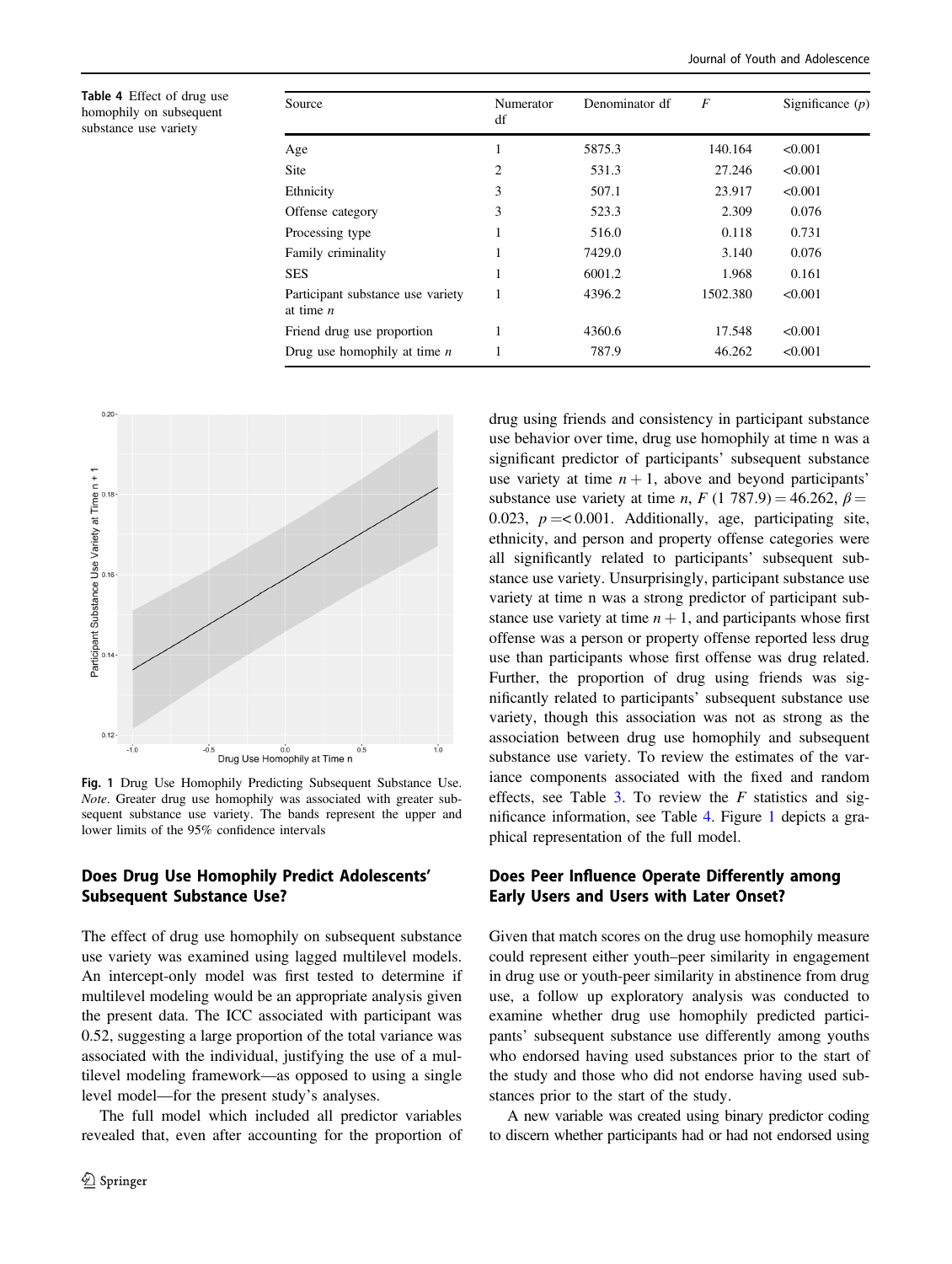Table 4 Effect of drug use homophily on subsequent substance use variety

| Numerator<br>df | Denominator df | $\boldsymbol{F}$ | Significance $(p)$ |
|-----------------|----------------|------------------|--------------------|
| 1               | 5875.3         | 140.164          | < 0.001            |
| 2               | 531.3          | 27.246           | < 0.001            |
| 3               | 507.1          | 23.917           | < 0.001            |
| 3               | 523.3          | 2.309            | 0.076              |
|                 | 516.0          | 0.118            | 0.731              |
|                 | 7429.0         | 3.140            | 0.076              |
|                 | 6001.2         | 1.968            | 0.161              |
| 1               | 4396.2         | 1502.380         | < 0.001            |
|                 | 4360.6         | 17.548           | < 0.001            |
|                 | 787.9          | 46.262           | < 0.001            |
|                 |                |                  |                    |



Fig. 1 Drug Use Homophily Predicting Subsequent Substance Use. Note. Greater drug use homophily was associated with greater subsequent substance use variety. The bands represent the upper and lower limits of the 95% confidence intervals

# Does Drug Use Homophily Predict Adolescents' Subsequent Substance Use?

The effect of drug use homophily on subsequent substance use variety was examined using lagged multilevel models. An intercept-only model was first tested to determine if multilevel modeling would be an appropriate analysis given the present data. The ICC associated with participant was 0.52, suggesting a large proportion of the total variance was associated with the individual, justifying the use of a multilevel modeling framework—as opposed to using a single level model—for the present study's analyses.

The full model which included all predictor variables revealed that, even after accounting for the proportion of drug using friends and consistency in participant substance use behavior over time, drug use homophily at time n was a significant predictor of participants' subsequent substance use variety at time  $n + 1$ , above and beyond participants' substance use variety at time n, F (1 787.9) = 46.262,  $\beta$  = 0.023,  $p = 0.001$ . Additionally, age, participating site, ethnicity, and person and property offense categories were all significantly related to participants' subsequent substance use variety. Unsurprisingly, participant substance use variety at time n was a strong predictor of participant substance use variety at time  $n + 1$ , and participants whose first offense was a person or property offense reported less drug use than participants whose first offense was drug related. Further, the proportion of drug using friends was significantly related to participants' subsequent substance use variety, though this association was not as strong as the association between drug use homophily and subsequent substance use variety. To review the estimates of the variance components associated with the fixed and random effects, see Table [3](#page-6-0). To review the  $F$  statistics and significance information, see Table 4. Figure 1 depicts a graphical representation of the full model.

# Does Peer Influence Operate Differently among Early Users and Users with Later Onset?

Given that match scores on the drug use homophily measure could represent either youth–peer similarity in engagement in drug use or youth-peer similarity in abstinence from drug use, a follow up exploratory analysis was conducted to examine whether drug use homophily predicted participants' subsequent substance use differently among youths who endorsed having used substances prior to the start of the study and those who did not endorse having used substances prior to the start of the study.

A new variable was created using binary predictor coding to discern whether participants had or had not endorsed using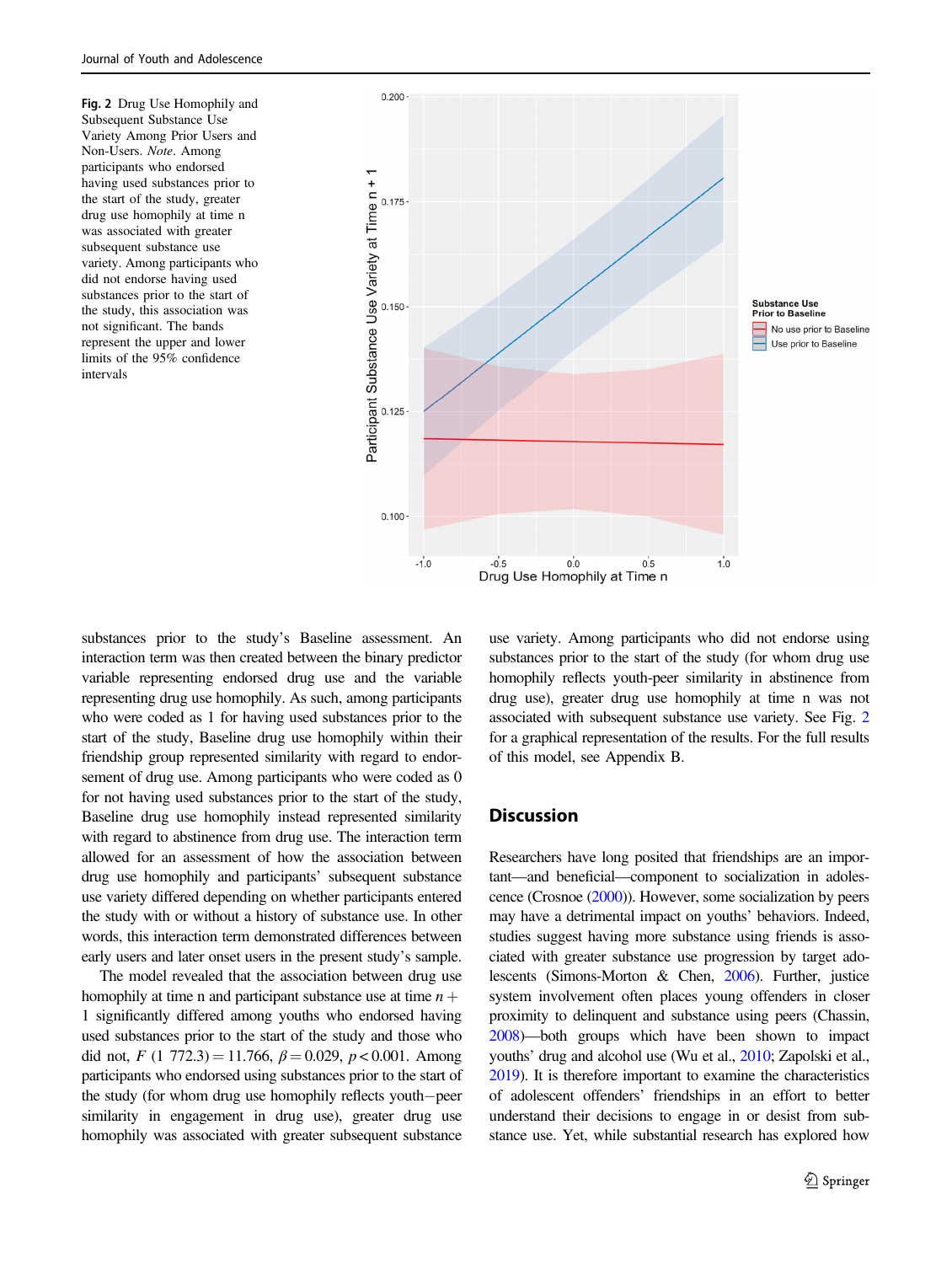Fig. 2 Drug Use Homophily and Subsequent Substance Use Variety Among Prior Users and Non-Users. Note. Among participants who endorsed having used substances prior to the start of the study, greater drug use homophily at time n was associated with greater subsequent substance use variety. Among participants who did not endorse having used substances prior to the start of the study, this association was not significant. The bands represent the upper and lower limits of the 95% confidence intervals



substances prior to the study's Baseline assessment. An interaction term was then created between the binary predictor variable representing endorsed drug use and the variable representing drug use homophily. As such, among participants who were coded as 1 for having used substances prior to the start of the study, Baseline drug use homophily within their friendship group represented similarity with regard to endorsement of drug use. Among participants who were coded as 0 for not having used substances prior to the start of the study, Baseline drug use homophily instead represented similarity with regard to abstinence from drug use. The interaction term allowed for an assessment of how the association between drug use homophily and participants' subsequent substance use variety differed depending on whether participants entered the study with or without a history of substance use. In other words, this interaction term demonstrated differences between early users and later onset users in the present study's sample.

The model revealed that the association between drug use homophily at time n and participant substance use at time  $n +$ 1 significantly differed among youths who endorsed having used substances prior to the start of the study and those who did not,  $F(1772.3) = 11.766$ ,  $\beta = 0.029$ ,  $p < 0.001$ . Among participants who endorsed using substances prior to the start of the study (for whom drug use homophily reflects youth−peer similarity in engagement in drug use), greater drug use homophily was associated with greater subsequent substance use variety. Among participants who did not endorse using substances prior to the start of the study (for whom drug use homophily reflects youth-peer similarity in abstinence from drug use), greater drug use homophily at time n was not associated with subsequent substance use variety. See Fig. 2 for a graphical representation of the results. For the full results of this model, see Appendix B.

## **Discussion**

Researchers have long posited that friendships are an important—and beneficial—component to socialization in adolescence (Crosnoe [\(2000](#page-12-0))). However, some socialization by peers may have a detrimental impact on youths' behaviors. Indeed, studies suggest having more substance using friends is associated with greater substance use progression by target adolescents (Simons-Morton & Chen, [2006](#page-13-0)). Further, justice system involvement often places young offenders in closer proximity to delinquent and substance using peers (Chassin, [2008](#page-12-0))—both groups which have been shown to impact youths' drug and alcohol use (Wu et al., [2010](#page-13-0); Zapolski et al., [2019](#page-13-0)). It is therefore important to examine the characteristics of adolescent offenders' friendships in an effort to better understand their decisions to engage in or desist from substance use. Yet, while substantial research has explored how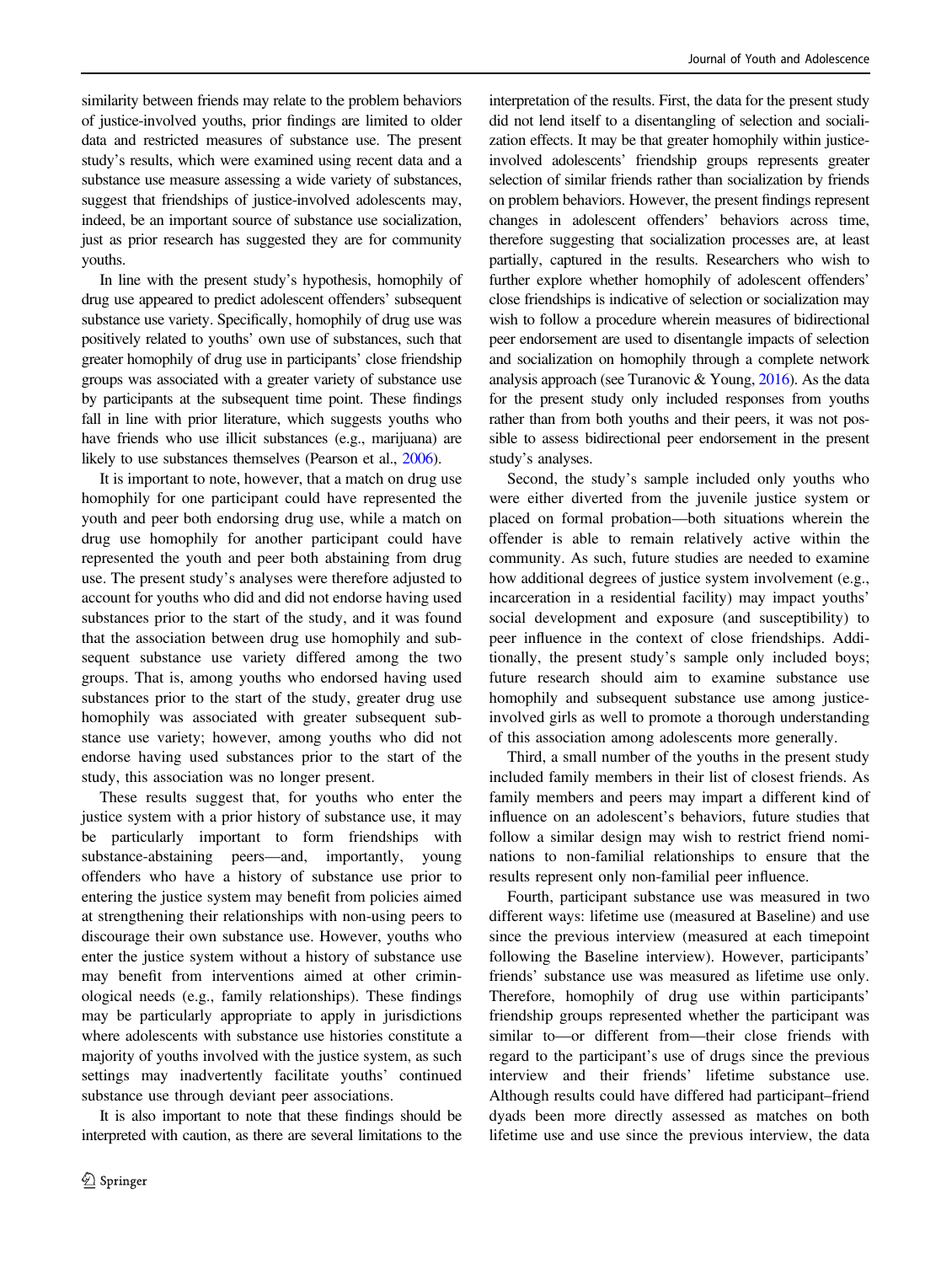similarity between friends may relate to the problem behaviors of justice-involved youths, prior findings are limited to older data and restricted measures of substance use. The present study's results, which were examined using recent data and a substance use measure assessing a wide variety of substances, suggest that friendships of justice-involved adolescents may, indeed, be an important source of substance use socialization, just as prior research has suggested they are for community youths.

In line with the present study's hypothesis, homophily of drug use appeared to predict adolescent offenders' subsequent substance use variety. Specifically, homophily of drug use was positively related to youths' own use of substances, such that greater homophily of drug use in participants' close friendship groups was associated with a greater variety of substance use by participants at the subsequent time point. These findings fall in line with prior literature, which suggests youths who have friends who use illicit substances (e.g., marijuana) are likely to use substances themselves (Pearson et al., [2006\)](#page-13-0).

It is important to note, however, that a match on drug use homophily for one participant could have represented the youth and peer both endorsing drug use, while a match on drug use homophily for another participant could have represented the youth and peer both abstaining from drug use. The present study's analyses were therefore adjusted to account for youths who did and did not endorse having used substances prior to the start of the study, and it was found that the association between drug use homophily and subsequent substance use variety differed among the two groups. That is, among youths who endorsed having used substances prior to the start of the study, greater drug use homophily was associated with greater subsequent substance use variety; however, among youths who did not endorse having used substances prior to the start of the study, this association was no longer present.

These results suggest that, for youths who enter the justice system with a prior history of substance use, it may be particularly important to form friendships with substance-abstaining peers—and, importantly, young offenders who have a history of substance use prior to entering the justice system may benefit from policies aimed at strengthening their relationships with non-using peers to discourage their own substance use. However, youths who enter the justice system without a history of substance use may benefit from interventions aimed at other criminological needs (e.g., family relationships). These findings may be particularly appropriate to apply in jurisdictions where adolescents with substance use histories constitute a majority of youths involved with the justice system, as such settings may inadvertently facilitate youths' continued substance use through deviant peer associations.

It is also important to note that these findings should be interpreted with caution, as there are several limitations to the interpretation of the results. First, the data for the present study did not lend itself to a disentangling of selection and socialization effects. It may be that greater homophily within justiceinvolved adolescents' friendship groups represents greater selection of similar friends rather than socialization by friends on problem behaviors. However, the present findings represent changes in adolescent offenders' behaviors across time, therefore suggesting that socialization processes are, at least partially, captured in the results. Researchers who wish to further explore whether homophily of adolescent offenders' close friendships is indicative of selection or socialization may wish to follow a procedure wherein measures of bidirectional peer endorsement are used to disentangle impacts of selection and socialization on homophily through a complete network analysis approach (see Turanovic & Young, [2016](#page-13-0)). As the data for the present study only included responses from youths rather than from both youths and their peers, it was not possible to assess bidirectional peer endorsement in the present study's analyses.

Second, the study's sample included only youths who were either diverted from the juvenile justice system or placed on formal probation—both situations wherein the offender is able to remain relatively active within the community. As such, future studies are needed to examine how additional degrees of justice system involvement (e.g., incarceration in a residential facility) may impact youths' social development and exposure (and susceptibility) to peer influence in the context of close friendships. Additionally, the present study's sample only included boys; future research should aim to examine substance use homophily and subsequent substance use among justiceinvolved girls as well to promote a thorough understanding of this association among adolescents more generally.

Third, a small number of the youths in the present study included family members in their list of closest friends. As family members and peers may impart a different kind of influence on an adolescent's behaviors, future studies that follow a similar design may wish to restrict friend nominations to non-familial relationships to ensure that the results represent only non-familial peer influence.

Fourth, participant substance use was measured in two different ways: lifetime use (measured at Baseline) and use since the previous interview (measured at each timepoint following the Baseline interview). However, participants' friends' substance use was measured as lifetime use only. Therefore, homophily of drug use within participants' friendship groups represented whether the participant was similar to—or different from—their close friends with regard to the participant's use of drugs since the previous interview and their friends' lifetime substance use. Although results could have differed had participant–friend dyads been more directly assessed as matches on both lifetime use and use since the previous interview, the data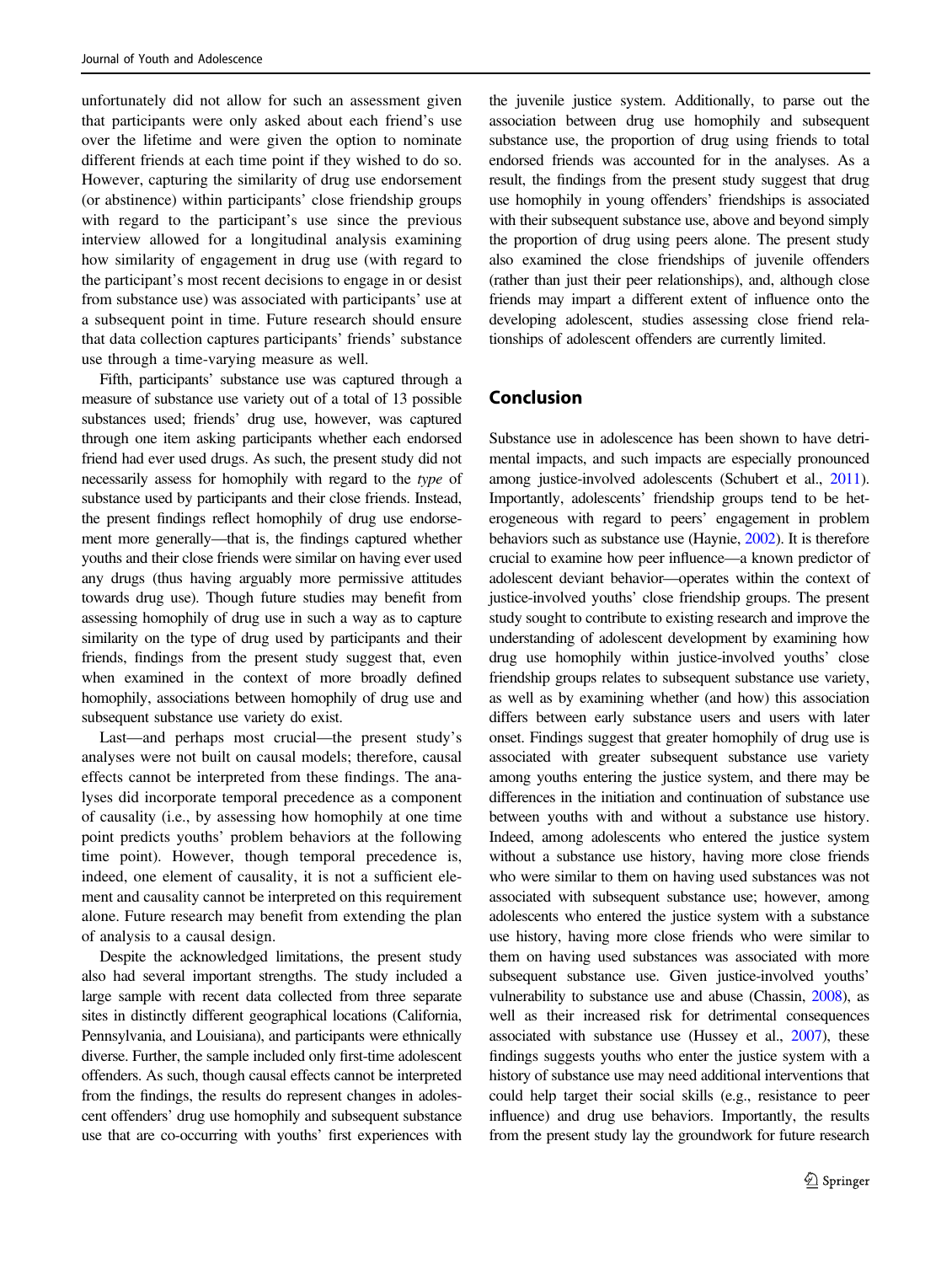unfortunately did not allow for such an assessment given that participants were only asked about each friend's use over the lifetime and were given the option to nominate different friends at each time point if they wished to do so. However, capturing the similarity of drug use endorsement (or abstinence) within participants' close friendship groups with regard to the participant's use since the previous interview allowed for a longitudinal analysis examining how similarity of engagement in drug use (with regard to the participant's most recent decisions to engage in or desist from substance use) was associated with participants' use at a subsequent point in time. Future research should ensure that data collection captures participants' friends' substance use through a time-varying measure as well.

Fifth, participants' substance use was captured through a measure of substance use variety out of a total of 13 possible substances used; friends' drug use, however, was captured through one item asking participants whether each endorsed friend had ever used drugs. As such, the present study did not necessarily assess for homophily with regard to the type of substance used by participants and their close friends. Instead, the present findings reflect homophily of drug use endorsement more generally—that is, the findings captured whether youths and their close friends were similar on having ever used any drugs (thus having arguably more permissive attitudes towards drug use). Though future studies may benefit from assessing homophily of drug use in such a way as to capture similarity on the type of drug used by participants and their friends, findings from the present study suggest that, even when examined in the context of more broadly defined homophily, associations between homophily of drug use and subsequent substance use variety do exist.

Last—and perhaps most crucial—the present study's analyses were not built on causal models; therefore, causal effects cannot be interpreted from these findings. The analyses did incorporate temporal precedence as a component of causality (i.e., by assessing how homophily at one time point predicts youths' problem behaviors at the following time point). However, though temporal precedence is, indeed, one element of causality, it is not a sufficient element and causality cannot be interpreted on this requirement alone. Future research may benefit from extending the plan of analysis to a causal design.

Despite the acknowledged limitations, the present study also had several important strengths. The study included a large sample with recent data collected from three separate sites in distinctly different geographical locations (California, Pennsylvania, and Louisiana), and participants were ethnically diverse. Further, the sample included only first-time adolescent offenders. As such, though causal effects cannot be interpreted from the findings, the results do represent changes in adolescent offenders' drug use homophily and subsequent substance use that are co-occurring with youths' first experiences with

the juvenile justice system. Additionally, to parse out the association between drug use homophily and subsequent substance use, the proportion of drug using friends to total endorsed friends was accounted for in the analyses. As a result, the findings from the present study suggest that drug use homophily in young offenders' friendships is associated with their subsequent substance use, above and beyond simply the proportion of drug using peers alone. The present study also examined the close friendships of juvenile offenders (rather than just their peer relationships), and, although close friends may impart a different extent of influence onto the developing adolescent, studies assessing close friend relationships of adolescent offenders are currently limited.

# Conclusion

Substance use in adolescence has been shown to have detrimental impacts, and such impacts are especially pronounced among justice-involved adolescents (Schubert et al., [2011\)](#page-13-0). Importantly, adolescents' friendship groups tend to be heterogeneous with regard to peers' engagement in problem behaviors such as substance use (Haynie, [2002](#page-12-0)). It is therefore crucial to examine how peer influence—a known predictor of adolescent deviant behavior—operates within the context of justice-involved youths' close friendship groups. The present study sought to contribute to existing research and improve the understanding of adolescent development by examining how drug use homophily within justice-involved youths' close friendship groups relates to subsequent substance use variety, as well as by examining whether (and how) this association differs between early substance users and users with later onset. Findings suggest that greater homophily of drug use is associated with greater subsequent substance use variety among youths entering the justice system, and there may be differences in the initiation and continuation of substance use between youths with and without a substance use history. Indeed, among adolescents who entered the justice system without a substance use history, having more close friends who were similar to them on having used substances was not associated with subsequent substance use; however, among adolescents who entered the justice system with a substance use history, having more close friends who were similar to them on having used substances was associated with more subsequent substance use. Given justice-involved youths' vulnerability to substance use and abuse (Chassin, [2008](#page-12-0)), as well as their increased risk for detrimental consequences associated with substance use (Hussey et al., [2007](#page-12-0)), these findings suggests youths who enter the justice system with a history of substance use may need additional interventions that could help target their social skills (e.g., resistance to peer influence) and drug use behaviors. Importantly, the results from the present study lay the groundwork for future research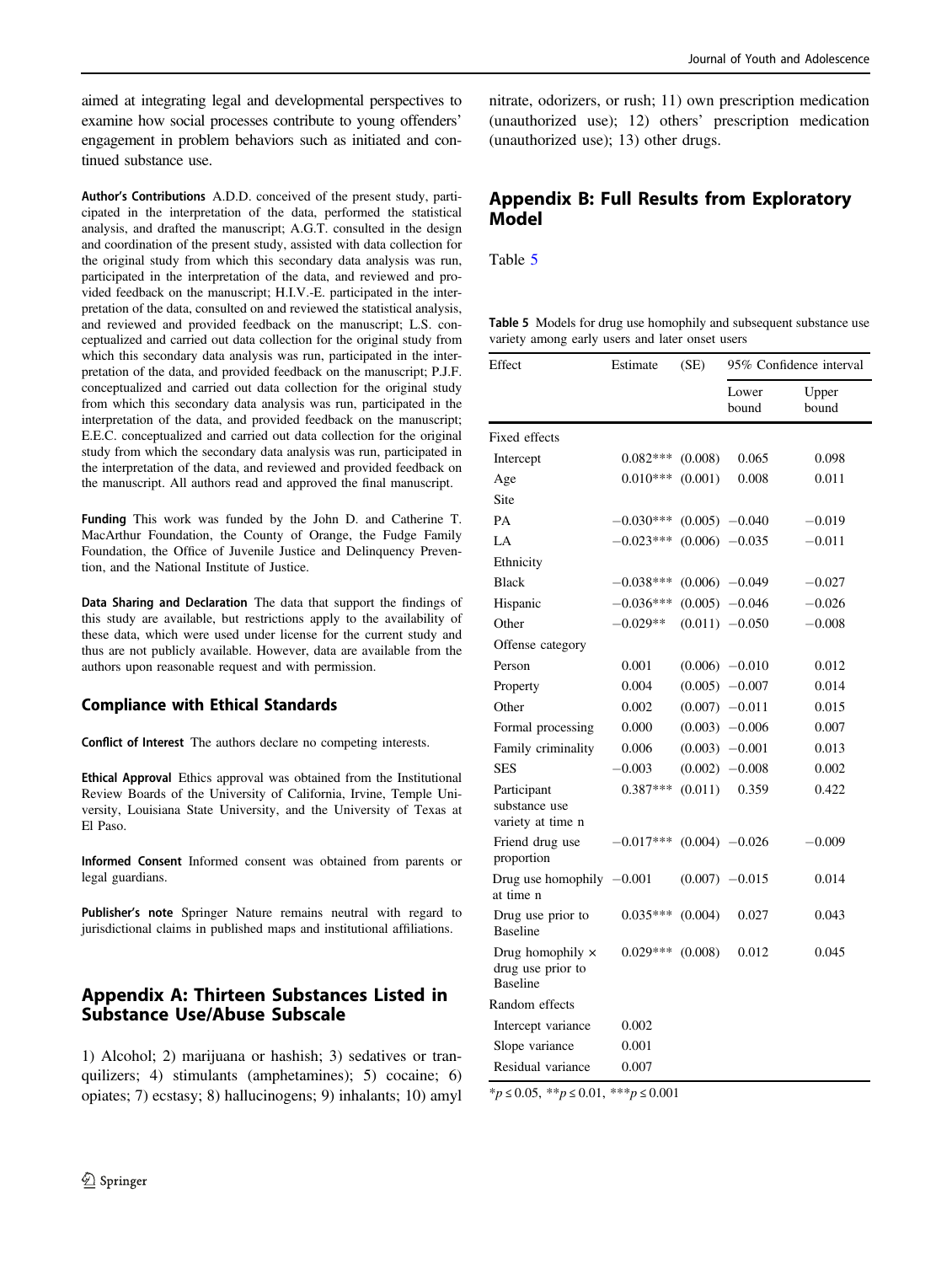aimed at integrating legal and developmental perspectives to examine how social processes contribute to young offenders' engagement in problem behaviors such as initiated and continued substance use.

Author's Contributions A.D.D. conceived of the present study, participated in the interpretation of the data, performed the statistical analysis, and drafted the manuscript; A.G.T. consulted in the design and coordination of the present study, assisted with data collection for the original study from which this secondary data analysis was run, participated in the interpretation of the data, and reviewed and provided feedback on the manuscript; H.I.V.-E. participated in the interpretation of the data, consulted on and reviewed the statistical analysis, and reviewed and provided feedback on the manuscript; L.S. conceptualized and carried out data collection for the original study from which this secondary data analysis was run, participated in the interpretation of the data, and provided feedback on the manuscript; P.J.F. conceptualized and carried out data collection for the original study from which this secondary data analysis was run, participated in the interpretation of the data, and provided feedback on the manuscript; E.E.C. conceptualized and carried out data collection for the original study from which the secondary data analysis was run, participated in the interpretation of the data, and reviewed and provided feedback on the manuscript. All authors read and approved the final manuscript.

Funding This work was funded by the John D. and Catherine T. MacArthur Foundation, the County of Orange, the Fudge Family Foundation, the Office of Juvenile Justice and Delinquency Prevention, and the National Institute of Justice.

Data Sharing and Declaration The data that support the findings of this study are available, but restrictions apply to the availability of these data, which were used under license for the current study and thus are not publicly available. However, data are available from the authors upon reasonable request and with permission.

### Compliance with Ethical Standards

Conflict of Interest The authors declare no competing interests.

Ethical Approval Ethics approval was obtained from the Institutional Review Boards of the University of California, Irvine, Temple University, Louisiana State University, and the University of Texas at El Paso.

Informed Consent Informed consent was obtained from parents or legal guardians.

Publisher's note Springer Nature remains neutral with regard to jurisdictional claims in published maps and institutional affiliations.

# Appendix A: Thirteen Substances Listed in Substance Use/Abuse Subscale

1) Alcohol; 2) marijuana or hashish; 3) sedatives or tranquilizers; 4) stimulants (amphetamines); 5) cocaine; 6) opiates; 7) ecstasy; 8) hallucinogens; 9) inhalants; 10) amyl

nitrate, odorizers, or rush; 11) own prescription medication (unauthorized use); 12) others' prescription medication (unauthorized use); 13) other drugs.

# Appendix B: Full Results from Exploratory Model

Table 5

Table 5 Models for drug use homophily and subsequent substance use variety among early users and later onset users

| Effect                                                   | Estimate<br>(SE) |         | 95% Confidence interval |                |  |
|----------------------------------------------------------|------------------|---------|-------------------------|----------------|--|
|                                                          |                  |         | Lower<br>bound          | Upper<br>bound |  |
| Fixed effects                                            |                  |         |                         |                |  |
| Intercept                                                | $0.082***$       | (0.008) | 0.065                   | 0.098          |  |
| Age                                                      | $0.010***$       | (0.001) | 0.008                   | 0.011          |  |
| Site                                                     |                  |         |                         |                |  |
| PA                                                       | $-0.030***$      |         | $(0.005)$ $-0.040$      | $-0.019$       |  |
| LA                                                       | $-0.023***$      |         | $(0.006)$ -0.035        | $-0.011$       |  |
| Ethnicity                                                |                  |         |                         |                |  |
| <b>Black</b>                                             | $-0.038***$      |         | $(0.006)$ -0.049        | $-0.027$       |  |
| Hispanic                                                 | -0.036***        |         | $(0.005)$ -0.046        | $-0.026$       |  |
| Other                                                    | $-0.029**$       |         | $(0.011)$ -0.050        | $-0.008$       |  |
| Offense category                                         |                  |         |                         |                |  |
| Person                                                   | 0.001            |         | $(0.006) -0.010$        | 0.012          |  |
| Property                                                 | 0.004            |         | $(0.005)$ -0.007        | 0.014          |  |
| Other                                                    | 0.002            |         | $(0.007)$ -0.011        | 0.015          |  |
| Formal processing                                        | 0.000            |         | $(0.003)$ -0.006        | 0.007          |  |
| Family criminality                                       | 0.006            |         | $(0.003) -0.001$        | 0.013          |  |
| <b>SES</b>                                               | $-0.003$         |         | $(0.002)$ -0.008        | 0.002          |  |
| Participant<br>substance use<br>variety at time n        | $0.387***$       | (0.011) | 0.359                   | 0.422          |  |
| Friend drug use<br>proportion                            | $0.017***$       |         | $(0.004)$ $-0.026$      | 0.009          |  |
| Drug use homophily $-0.001$<br>at time n                 |                  |         | $(0.007)$ -0.015        | 0.014          |  |
| Drug use prior to<br><b>Baseline</b>                     | $0.035***$       | (0.004) | 0.027                   | 0.043          |  |
| Drug homophily ×<br>drug use prior to<br><b>Baseline</b> | $0.029***$       | (0.008) | 0.012                   | 0.045          |  |
| Random effects                                           |                  |         |                         |                |  |
| Intercept variance                                       | 0.002            |         |                         |                |  |
| Slope variance                                           | 0.001            |         |                         |                |  |
| Residual variance                                        | 0.007            |         |                         |                |  |

\*p ≤ 0.05, \*\*p ≤ 0.01, \*\*\*p ≤ 0.001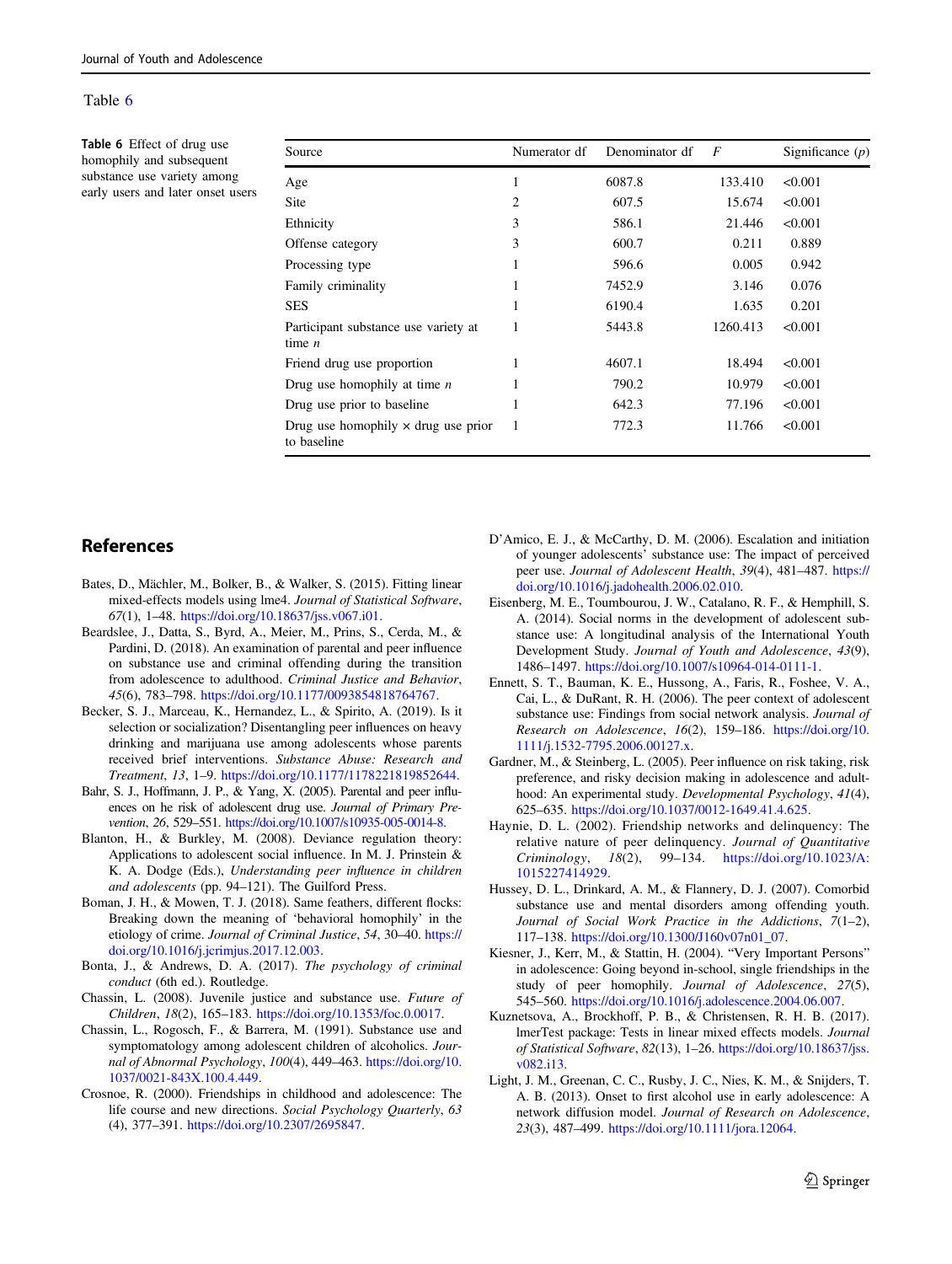#### <span id="page-12-0"></span>Table 6

Table 6 Effect of drug use homophily and subsequent substance use variety among early users and later onset users

| Source                                                    | Numerator df | Denominator df | $\overline{F}$ | Significance $(p)$ |
|-----------------------------------------------------------|--------------|----------------|----------------|--------------------|
| Age                                                       | 1            | 6087.8         | 133.410        | < 0.001            |
| <b>Site</b>                                               | 2            | 607.5          | 15.674         | < 0.001            |
| Ethnicity                                                 | 3            | 586.1          | 21.446         | < 0.001            |
| Offense category                                          | 3            | 600.7          | 0.211          | 0.889              |
| Processing type                                           | 1            | 596.6          | 0.005          | 0.942              |
| Family criminality                                        |              | 7452.9         | 3.146          | 0.076              |
| <b>SES</b>                                                |              | 6190.4         | 1.635          | 0.201              |
| Participant substance use variety at<br>time $n$          | 1            | 5443.8         | 1260.413       | < 0.001            |
| Friend drug use proportion                                | 1            | 4607.1         | 18.494         | < 0.001            |
| Drug use homophily at time $n$                            |              | 790.2          | 10.979         | < 0.001            |
| Drug use prior to baseline                                | 1            | 642.3          | 77.196         | < 0.001            |
| Drug use homophily $\times$ drug use prior<br>to baseline | 1            | 772.3          | 11.766         | < 0.001            |

# References

- Bates, D., Mächler, M., Bolker, B., & Walker, S. (2015). Fitting linear mixed-effects models using lme4. Journal of Statistical Software, 67(1), 1–48. <https://doi.org/10.18637/jss.v067.i01>.
- Beardslee, J., Datta, S., Byrd, A., Meier, M., Prins, S., Cerda, M., & Pardini, D. (2018). An examination of parental and peer influence on substance use and criminal offending during the transition from adolescence to adulthood. Criminal Justice and Behavior, 45(6), 783–798. [https://doi.org/10.1177/0093854818764767.](https://doi.org/10.1177/0093854818764767)
- Becker, S. J., Marceau, K., Hernandez, L., & Spirito, A. (2019). Is it selection or socialization? Disentangling peer influences on heavy drinking and marijuana use among adolescents whose parents received brief interventions. Substance Abuse: Research and Treatment, 13, 1–9. [https://doi.org/10.1177/1178221819852644.](https://doi.org/10.1177/1178221819852644)
- Bahr, S. J., Hoffmann, J. P., & Yang, X. (2005). Parental and peer influences on he risk of adolescent drug use. Journal of Primary Prevention, 26, 529–551. <https://doi.org/10.1007/s10935-005-0014-8>.
- Blanton, H., & Burkley, M. (2008). Deviance regulation theory: Applications to adolescent social influence. In M. J. Prinstein & K. A. Dodge (Eds.), Understanding peer influence in children and adolescents (pp. 94–121). The Guilford Press.
- Boman, J. H., & Mowen, T. J. (2018). Same feathers, different flocks: Breaking down the meaning of 'behavioral homophily' in the etiology of crime. Journal of Criminal Justice, 54, 30–40. [https://](https://doi.org/10.1016/j.jcrimjus.2017.12.003) [doi.org/10.1016/j.jcrimjus.2017.12.003](https://doi.org/10.1016/j.jcrimjus.2017.12.003).
- Bonta, J., & Andrews, D. A. (2017). The psychology of criminal conduct (6th ed.). Routledge.
- Chassin, L. (2008). Juvenile justice and substance use. Future of Children, 18(2), 165–183. <https://doi.org/10.1353/foc.0.0017>.
- Chassin, L., Rogosch, F., & Barrera, M. (1991). Substance use and symptomatology among adolescent children of alcoholics. Journal of Abnormal Psychology, 100(4), 449–463. [https://doi.org/10.](https://doi.org/10.1037/0021-843X.100.4.449) [1037/0021-843X.100.4.449.](https://doi.org/10.1037/0021-843X.100.4.449)
- Crosnoe, R. (2000). Friendships in childhood and adolescence: The life course and new directions. Social Psychology Quarterly, 63 (4), 377–391. <https://doi.org/10.2307/2695847>.
- D'Amico, E. J., & McCarthy, D. M. (2006). Escalation and initiation of younger adolescents' substance use: The impact of perceived peer use. Journal of Adolescent Health, 39(4), 481–487. [https://](https://doi.org/10.1016/j.jadohealth.2006.02.010) [doi.org/10.1016/j.jadohealth.2006.02.010](https://doi.org/10.1016/j.jadohealth.2006.02.010).
- Eisenberg, M. E., Toumbourou, J. W., Catalano, R. F., & Hemphill, S. A. (2014). Social norms in the development of adolescent substance use: A longitudinal analysis of the International Youth Development Study. Journal of Youth and Adolescence, 43(9), 1486–1497. <https://doi.org/10.1007/s10964-014-0111-1>.
- Ennett, S. T., Bauman, K. E., Hussong, A., Faris, R., Foshee, V. A., Cai, L., & DuRant, R. H. (2006). The peer context of adolescent substance use: Findings from social network analysis. Journal of Research on Adolescence, 16(2), 159–186. [https://doi.org/10.](https://doi.org/10.1111/j.1532-7795.2006.00127.x) [1111/j.1532-7795.2006.00127.x](https://doi.org/10.1111/j.1532-7795.2006.00127.x).
- Gardner, M., & Steinberg, L. (2005). Peer influence on risk taking, risk preference, and risky decision making in adolescence and adulthood: An experimental study. Developmental Psychology, 41(4), 625–635. [https://doi.org/10.1037/0012-1649.41.4.625.](https://doi.org/10.1037/0012-1649.41.4.625)
- Haynie, D. L. (2002). Friendship networks and delinquency: The relative nature of peer delinquency. Journal of Quantitative Criminology, 18(2), 99–134. [https://doi.org/10.1023/A:](https://doi.org/10.1023/A:1015227414929) [1015227414929](https://doi.org/10.1023/A:1015227414929).
- Hussey, D. L., Drinkard, A. M., & Flannery, D. J. (2007). Comorbid substance use and mental disorders among offending youth. Journal of Social Work Practice in the Addictions, 7(1–2), 117–138. [https://doi.org/10.1300/J160v07n01\\_07](https://doi.org/10.1300/J160v07n01_07).
- Kiesner, J., Kerr, M., & Stattin, H. (2004). "Very Important Persons" in adolescence: Going beyond in-school, single friendships in the study of peer homophily. Journal of Adolescence, 27(5), 545–560. [https://doi.org/10.1016/j.adolescence.2004.06.007.](https://doi.org/10.1016/j.adolescence.2004.06.007)
- Kuznetsova, A., Brockhoff, P. B., & Christensen, R. H. B. (2017). lmerTest package: Tests in linear mixed effects models. Journal of Statistical Software, 82(13), 1–26. [https://doi.org/10.18637/jss.](https://doi.org/10.18637/jss.v082.i13) [v082.i13.](https://doi.org/10.18637/jss.v082.i13)
- Light, J. M., Greenan, C. C., Rusby, J. C., Nies, K. M., & Snijders, T. A. B. (2013). Onset to first alcohol use in early adolescence: A network diffusion model. Journal of Research on Adolescence, 23(3), 487–499. [https://doi.org/10.1111/jora.12064.](https://doi.org/10.1111/jora.12064)